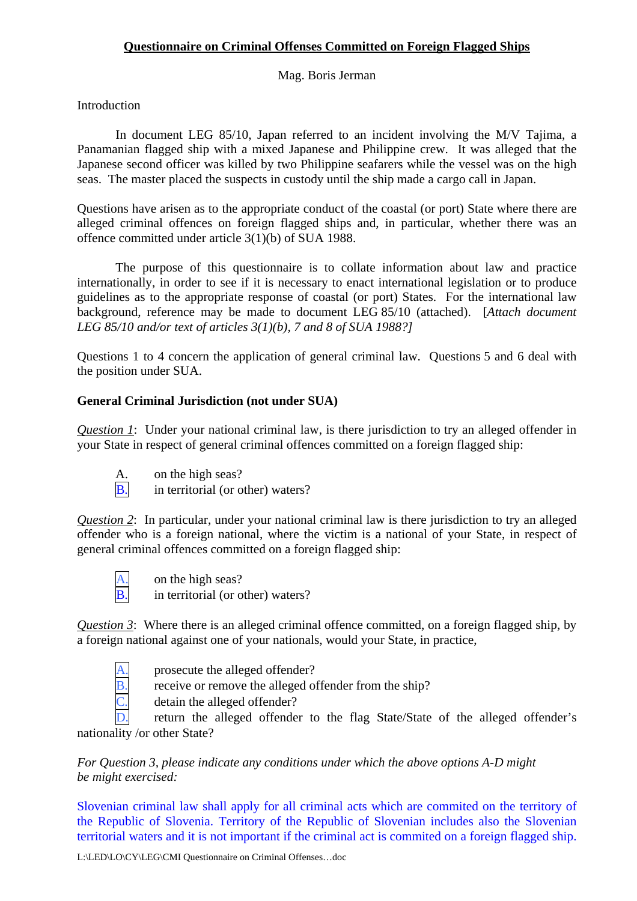## **Questionnaire on Criminal Offenses Committed on Foreign Flagged Ships**

Mag. Boris Jerman

**Introduction** 

 In document LEG 85/10, Japan referred to an incident involving the M/V Tajima, a Panamanian flagged ship with a mixed Japanese and Philippine crew. It was alleged that the Japanese second officer was killed by two Philippine seafarers while the vessel was on the high seas. The master placed the suspects in custody until the ship made a cargo call in Japan.

Questions have arisen as to the appropriate conduct of the coastal (or port) State where there are alleged criminal offences on foreign flagged ships and, in particular, whether there was an offence committed under article 3(1)(b) of SUA 1988.

 The purpose of this questionnaire is to collate information about law and practice internationally, in order to see if it is necessary to enact international legislation or to produce guidelines as to the appropriate response of coastal (or port) States. For the international law background, reference may be made to document LEG 85/10 (attached). [*Attach document LEG 85/10 and/or text of articles 3(1)(b), 7 and 8 of SUA 1988?]*

Questions 1 to 4 concern the application of general criminal law. Questions 5 and 6 deal with the position under SUA.

## **General Criminal Jurisdiction (not under SUA)**

*Question 1*: Under your national criminal law, is there jurisdiction to try an alleged offender in your State in respect of general criminal offences committed on a foreign flagged ship:

 A. on the high seas? B. in territorial (or other) waters?

*Question 2*: In particular, under your national criminal law is there jurisdiction to try an alleged offender who is a foreign national, where the victim is a national of your State, in respect of general criminal offences committed on a foreign flagged ship:

 $\frac{A}{B}$  on the high seas?<br>B in territorial (or of in territorial (or other) waters?

*Question 3*: Where there is an alleged criminal offence committed, on a foreign flagged ship, by a foreign national against one of your nationals, would your State, in practice,

- 
- prosecute the alleged offender?
- receive or remove the alleged offender from the ship?

detain the alleged offender?

return the alleged offender to the flag State/State of the alleged offender's nationality /or other State?

*For Question 3, please indicate any conditions under which the above options A-D might be might exercised:* 

Slovenian criminal law shall apply for all criminal acts which are commited on the territory of the Republic of Slovenia. Territory of the Republic of Slovenian includes also the Slovenian territorial waters and it is not important if the criminal act is commited on a foreign flagged ship.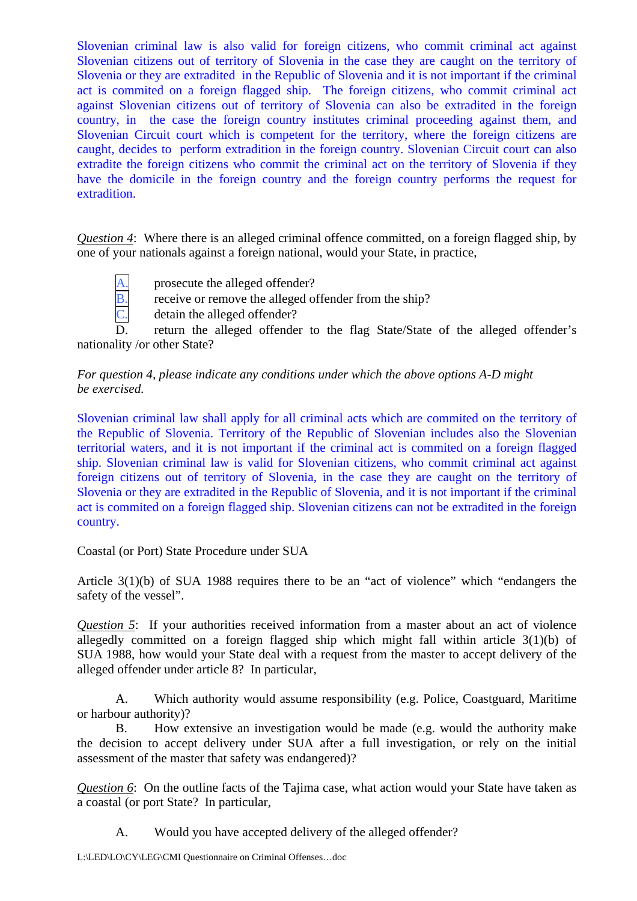Slovenian criminal law is also valid for foreign citizens, who commit criminal act against Slovenian citizens out of territory of Slovenia in the case they are caught on the territory of Slovenia or they are extradited in the Republic of Slovenia and it is not important if the criminal act is commited on a foreign flagged ship. The foreign citizens, who commit criminal act against Slovenian citizens out of territory of Slovenia can also be extradited in the foreign country, in the case the foreign country institutes criminal proceeding against them, and Slovenian Circuit court which is competent for the territory, where the foreign citizens are caught, decides to perform extradition in the foreign country. Slovenian Circuit court can also extradite the foreign citizens who commit the criminal act on the territory of Slovenia if they have the domicile in the foreign country and the foreign country performs the request for extradition.

*Question 4*: Where there is an alleged criminal offence committed, on a foreign flagged ship, by one of your nationals against a foreign national, would your State, in practice,

- -
- $\frac{A}{B}$ . prosecute the alleged offender?<br>  $\frac{B}{C}$ . detain the alleged offender? receive or remove the alleged offender from the ship?
	- detain the alleged offender?

D. return the alleged offender to the flag State/State of the alleged offender's nationality /or other State?

## *For question 4, please indicate any conditions under which the above options A-D might be exercised.*

Slovenian criminal law shall apply for all criminal acts which are commited on the territory of the Republic of Slovenia. Territory of the Republic of Slovenian includes also the Slovenian territorial waters, and it is not important if the criminal act is commited on a foreign flagged ship. Slovenian criminal law is valid for Slovenian citizens, who commit criminal act against foreign citizens out of territory of Slovenia, in the case they are caught on the territory of Slovenia or they are extradited in the Republic of Slovenia, and it is not important if the criminal act is commited on a foreign flagged ship. Slovenian citizens can not be extradited in the foreign country.

Coastal (or Port) State Procedure under SUA

Article 3(1)(b) of SUA 1988 requires there to be an "act of violence" which "endangers the safety of the vessel".

*Question 5*: If your authorities received information from a master about an act of violence allegedly committed on a foreign flagged ship which might fall within article 3(1)(b) of SUA 1988, how would your State deal with a request from the master to accept delivery of the alleged offender under article 8? In particular,

A. Which authority would assume responsibility (e.g. Police, Coastguard, Maritime or harbour authority)?

B. How extensive an investigation would be made (e.g. would the authority make the decision to accept delivery under SUA after a full investigation, or rely on the initial assessment of the master that safety was endangered)?

*Question 6*: On the outline facts of the Tajima case, what action would your State have taken as a coastal (or port State? In particular,

A. Would you have accepted delivery of the alleged offender?